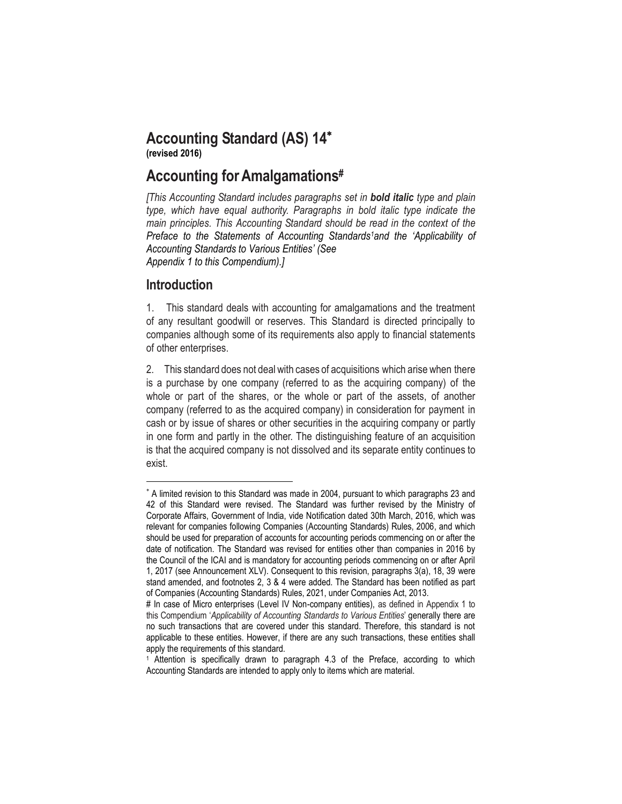### **Accounting Standard (AS) 14 (revised 2016)**

# **Accounting forAmalgamations#**

*[This Accounting Standard includes paragraphs set in bold italic type and plain type, which have equal authority. Paragraphs in bold italic type indicate the main principles. This Accounting Standard should be read in the context of the Preface to the Statements of Accounting Standards1and the 'Applicability of Accounting Standards to Various Entities' (See Appendix 1 to this Compendium).]*

## **Introduction**

 $\overline{a}$ 

1. This standard deals with accounting for amalgamations and the treatment of any resultant goodwill or reserves. This Standard is directed principally to companies although some of its requirements also apply to financial statements of other enterprises.

2. This standard does not deal with cases of acquisitions which arise when there is a purchase by one company (referred to as the acquiring company) of the whole or part of the shares, or the whole or part of the assets, of another company (referred to as the acquired company) in consideration for payment in cash or by issue of shares or other securities in the acquiring company or partly in one form and partly in the other. The distinguishing feature of an acquisition is that the acquired company is not dissolved and its separate entity continues to exist.

A limited revision to this Standard was made in 2004, pursuant to which paragraphs 23 and 42 of this Standard were revised. The Standard was further revised by the Ministry of Corporate Affairs, Government of India, vide Notification dated 30th March, 2016, which was relevant for companies following Companies (Accounting Standards) Rules, 2006, and which should be used for preparation of accounts for accounting periods commencing on or after the date of notification. The Standard was revised for entities other than companies in 2016 by the Council of the ICAI and is mandatory for accounting periods commencing on or after April 1, 2017 (see Announcement XLV). Consequent to this revision, paragraphs 3(a), 18, 39 were stand amended, and footnotes 2, 3 & 4 were added. The Standard has been notified as part of Companies (Accounting Standards) Rules, 2021, under Companies Act, 2013.

<sup>#</sup> In case of Micro enterprises (Level IV Non-company entities), as defined in Appendix 1 to this Compendium '*Applicability of Accounting Standards to Various Entities*' generally there are no such transactions that are covered under this standard. Therefore, this standard is not applicable to these entities. However, if there are any such transactions, these entities shall apply the requirements of this standard.

<sup>1</sup> Attention is specifically drawn to paragraph 4.3 of the Preface, according to which Accounting Standards are intended to apply only to items which are material.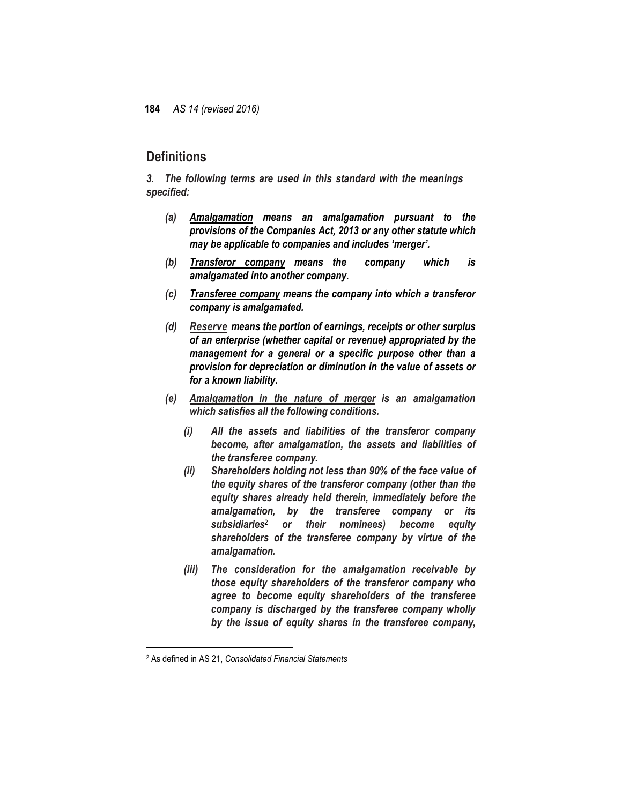## **Definitions**

*3. The following terms are used in this standard with the meanings specified:*

- *(a) Amalgamation means an amalgamation pursuant to the provisions of the Companies Act, 2013 or any other statute which may be applicable to companies and includes 'merger'.*
- *(b) Transferor company means the company which is amalgamated into another company.*
- *(c) Transferee company means the company into which a transferor company is amalgamated.*
- *(d) Reserve means the portion of earnings, receipts or other surplus of an enterprise (whether capital or revenue) appropriated by the management for a general or a specific purpose other than a provision for depreciation or diminution in the value of assets or for a known liability.*
- *(e) Amalgamation in the nature of merger is an amalgamation which satisfies all the following conditions.*
	- *(i) All the assets and liabilities of the transferor company become, after amalgamation, the assets and liabilities of the transferee company.*
	- *(ii) Shareholders holding not less than 90% of the face value of the equity shares of the transferor company (other than the equity shares already held therein, immediately before the amalgamation, by the transferee company or its subsidiaries*<sup>2</sup> *or their nominees) become equity shareholders of the transferee company by virtue of the amalgamation.*
	- *(iii) The consideration for the amalgamation receivable by those equity shareholders of the transferor company who agree to become equity shareholders of the transferee company is discharged by the transferee company wholly by the issue of equity shares in the transferee company,*

 $\overline{a}$ 

<sup>2</sup> As defined in AS 21, *Consolidated Financial Statements*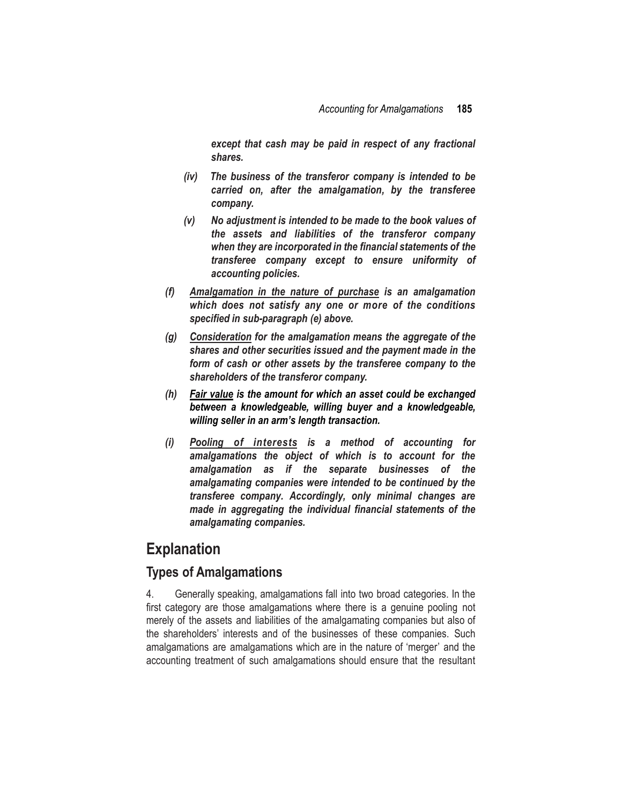*except that cash may be paid in respect of any fractional shares.*

- *(iv) The business of the transferor company is intended to be carried on, after the amalgamation, by the transferee company.*
- *(v) No adjustment is intended to be made to the book values of the assets and liabilities of the transferor company when they are incorporated in the financial statements of the transferee company except to ensure uniformity of accounting policies.*
- *(f) Amalgamation in the nature of purchase is an amalgamation which does not satisfy any one or more of the conditions specified in sub-paragraph (e) above.*
- *(g) Consideration for the amalgamation means the aggregate of the shares and other securities issued and the payment made in the form of cash or other assets by the transferee company to the shareholders of the transferor company.*
- *(h) Fair value is the amount for which an asset could be exchanged between a knowledgeable, willing buyer and a knowledgeable, willing seller in an arm's length transaction.*
- *(i) Pooling of interests is a method of accounting for amalgamations the object of which is to account for the amalgamation as if the separate businesses of the amalgamating companies were intended to be continued by the transferee company. Accordingly, only minimal changes are made in aggregating the individual financial statements of the amalgamating companies.*

# **Explanation**

## **Types of Amalgamations**

4. Generally speaking, amalgamations fall into two broad categories. In the first category are those amalgamations where there is a genuine pooling not merely of the assets and liabilities of the amalgamating companies but also of the shareholders' interests and of the businesses of these companies. Such amalgamations are amalgamations which are in the nature of 'merger' and the accounting treatment of such amalgamations should ensure that the resultant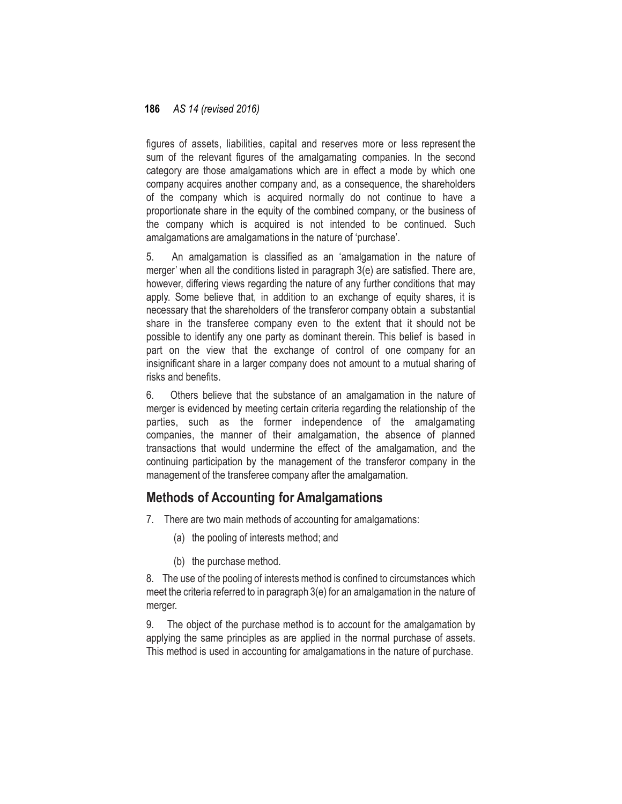figures of assets, liabilities, capital and reserves more or less represent the sum of the relevant figures of the amalgamating companies. In the second category are those amalgamations which are in effect a mode by which one company acquires another company and, as a consequence, the shareholders of the company which is acquired normally do not continue to have a proportionate share in the equity of the combined company, or the business of the company which is acquired is not intended to be continued. Such amalgamations are amalgamations in the nature of 'purchase'.

5. An amalgamation is classified as an 'amalgamation in the nature of merger' when all the conditions listed in paragraph 3(e) are satisfied. There are, however, differing views regarding the nature of any further conditions that may apply. Some believe that, in addition to an exchange of equity shares, it is necessary that the shareholders of the transferor company obtain a substantial share in the transferee company even to the extent that it should not be possible to identify any one party as dominant therein. This belief is based in part on the view that the exchange of control of one company for an insignificant share in a larger company does not amount to a mutual sharing of risks and benefits.

6. Others believe that the substance of an amalgamation in the nature of merger is evidenced by meeting certain criteria regarding the relationship of the parties, such as the former independence of the amalgamating companies, the manner of their amalgamation, the absence of planned transactions that would undermine the effect of the amalgamation, and the continuing participation by the management of the transferor company in the management of the transferee company after the amalgamation.

## **Methods of Accounting for Amalgamations**

- 7. There are two main methods of accounting for amalgamations:
	- (a) the pooling of interests method; and
	- (b) the purchase method.

8. The use of the pooling of interests method is confined to circumstances which meet the criteria referred to in paragraph 3(e) for an amalgamation in the nature of merger.

9. The object of the purchase method is to account for the amalgamation by applying the same principles as are applied in the normal purchase of assets. This method is used in accounting for amalgamations in the nature of purchase.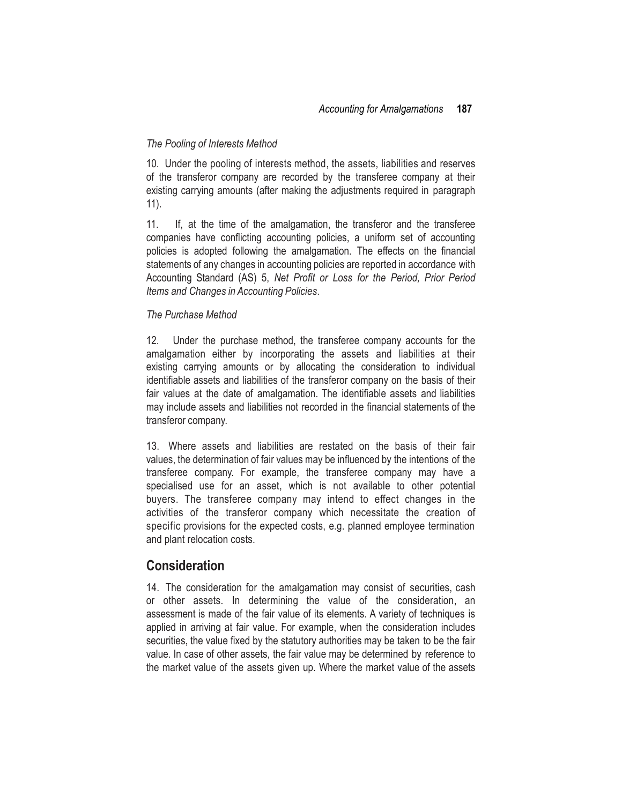#### *The Pooling of Interests Method*

10. Under the pooling of interests method, the assets, liabilities and reserves of the transferor company are recorded by the transferee company at their existing carrying amounts (after making the adjustments required in paragraph 11).

11. If, at the time of the amalgamation, the transferor and the transferee companies have conflicting accounting policies, a uniform set of accounting policies is adopted following the amalgamation. The effects on the financial statements of any changes in accounting policies are reported in accordance with Accounting Standard (AS) 5, *Net Profit or Loss for the Period, Prior Period Items and Changes in Accounting Policies*.

#### *The Purchase Method*

12. Under the purchase method, the transferee company accounts for the amalgamation either by incorporating the assets and liabilities at their existing carrying amounts or by allocating the consideration to individual identifiable assets and liabilities of the transferor company on the basis of their fair values at the date of amalgamation. The identifiable assets and liabilities may include assets and liabilities not recorded in the financial statements of the transferor company.

13. Where assets and liabilities are restated on the basis of their fair values, the determination of fair values may be influenced by the intentions of the transferee company. For example, the transferee company may have a specialised use for an asset, which is not available to other potential buyers. The transferee company may intend to effect changes in the activities of the transferor company which necessitate the creation of specific provisions for the expected costs, e.g. planned employee termination and plant relocation costs.

## **Consideration**

14. The consideration for the amalgamation may consist of securities, cash or other assets. In determining the value of the consideration, an assessment is made of the fair value of its elements. A variety of techniques is applied in arriving at fair value. For example, when the consideration includes securities, the value fixed by the statutory authorities may be taken to be the fair value. In case of other assets, the fair value may be determined by reference to the market value of the assets given up. Where the market value of the assets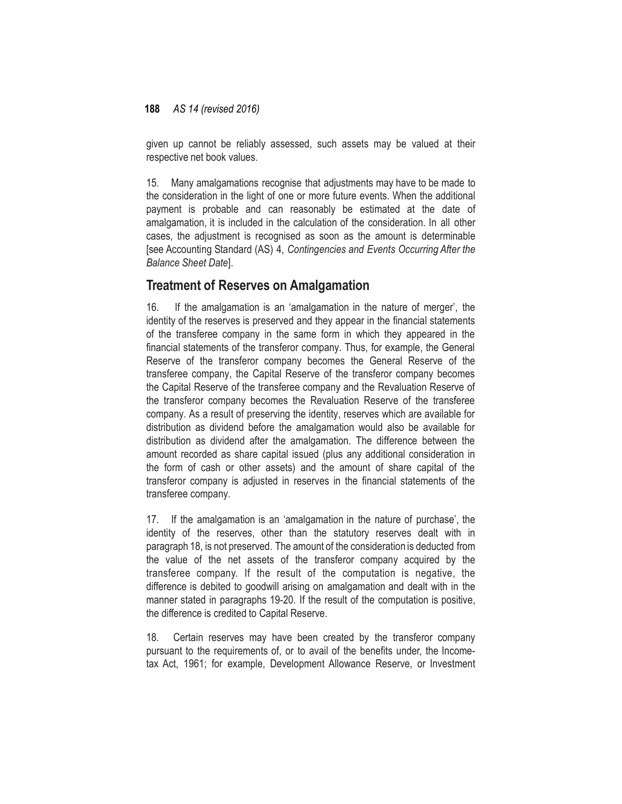given up cannot be reliably assessed, such assets may be valued at their respective net book values.

15. Many amalgamations recognise that adjustments may have to be made to the consideration in the light of one or more future events. When the additional payment is probable and can reasonably be estimated at the date of amalgamation, it is included in the calculation of the consideration. In all other cases, the adjustment is recognised as soon as the amount is determinable [see Accounting Standard (AS) 4, *Contingencies and Events Occurring After the Balance Sheet Date*].

## **Treatment of Reserves on Amalgamation**

16. If the amalgamation is an 'amalgamation in the nature of merger', the identity of the reserves is preserved and they appear in the financial statements of the transferee company in the same form in which they appeared in the financial statements of the transferor company. Thus, for example, the General Reserve of the transferor company becomes the General Reserve of the transferee company, the Capital Reserve of the transferor company becomes the Capital Reserve of the transferee company and the Revaluation Reserve of the transferor company becomes the Revaluation Reserve of the transferee company. As a result of preserving the identity, reserves which are available for distribution as dividend before the amalgamation would also be available for distribution as dividend after the amalgamation. The difference between the amount recorded as share capital issued (plus any additional consideration in the form of cash or other assets) and the amount of share capital of the transferor company is adjusted in reserves in the financial statements of the transferee company.

17. If the amalgamation is an 'amalgamation in the nature of purchase', the identity of the reserves, other than the statutory reserves dealt with in paragraph 18, is not preserved. The amount of the consideration is deducted from the value of the net assets of the transferor company acquired by the transferee company. If the result of the computation is negative, the difference is debited to goodwill arising on amalgamation and dealt with in the manner stated in paragraphs 19-20. If the result of the computation is positive, the difference is credited to Capital Reserve.

18. Certain reserves may have been created by the transferor company pursuant to the requirements of, or to avail of the benefits under, the Incometax Act, 1961; for example, Development Allowance Reserve, or Investment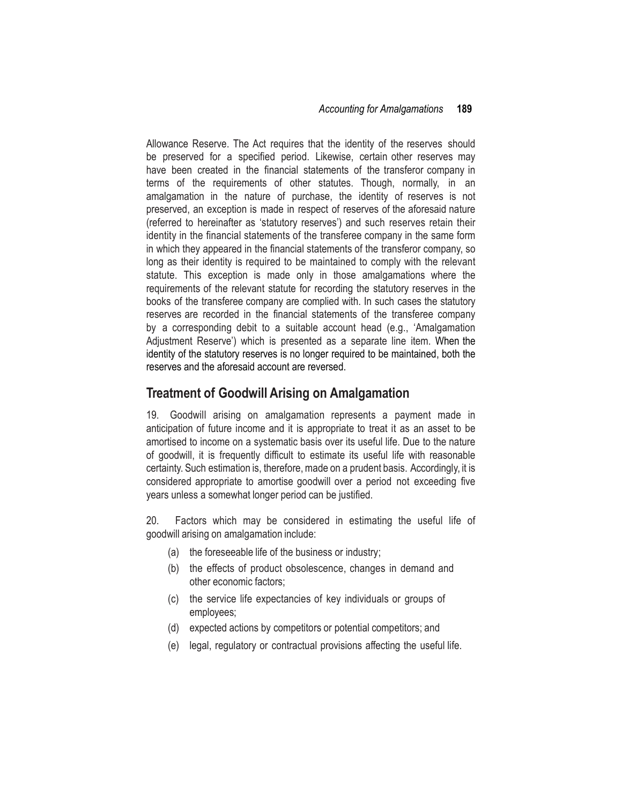Allowance Reserve. The Act requires that the identity of the reserves should be preserved for a specified period. Likewise, certain other reserves may have been created in the financial statements of the transferor company in terms of the requirements of other statutes. Though, normally, in an amalgamation in the nature of purchase, the identity of reserves is not preserved, an exception is made in respect of reserves of the aforesaid nature (referred to hereinafter as 'statutory reserves') and such reserves retain their identity in the financial statements of the transferee company in the same form in which they appeared in the financial statements of the transferor company, so long as their identity is required to be maintained to comply with the relevant statute. This exception is made only in those amalgamations where the requirements of the relevant statute for recording the statutory reserves in the books of the transferee company are complied with. In such cases the statutory reserves are recorded in the financial statements of the transferee company by a corresponding debit to a suitable account head (e.g., 'Amalgamation Adjustment Reserve') which is presented as a separate line item. When the identity of the statutory reserves is no longer required to be maintained, both the reserves and the aforesaid account are reversed.

## **Treatment of Goodwill Arising on Amalgamation**

19. Goodwill arising on amalgamation represents a payment made in anticipation of future income and it is appropriate to treat it as an asset to be amortised to income on a systematic basis over its useful life. Due to the nature of goodwill, it is frequently difficult to estimate its useful life with reasonable certainty. Such estimation is, therefore, made on a prudent basis. Accordingly, it is considered appropriate to amortise goodwill over a period not exceeding five years unless a somewhat longer period can be justified.

20. Factors which may be considered in estimating the useful life of goodwill arising on amalgamation include:

- (a) the foreseeable life of the business or industry;
- (b) the effects of product obsolescence, changes in demand and other economic factors;
- (c) the service life expectancies of key individuals or groups of employees;
- (d) expected actions by competitors or potential competitors; and
- (e) legal, regulatory or contractual provisions affecting the useful life.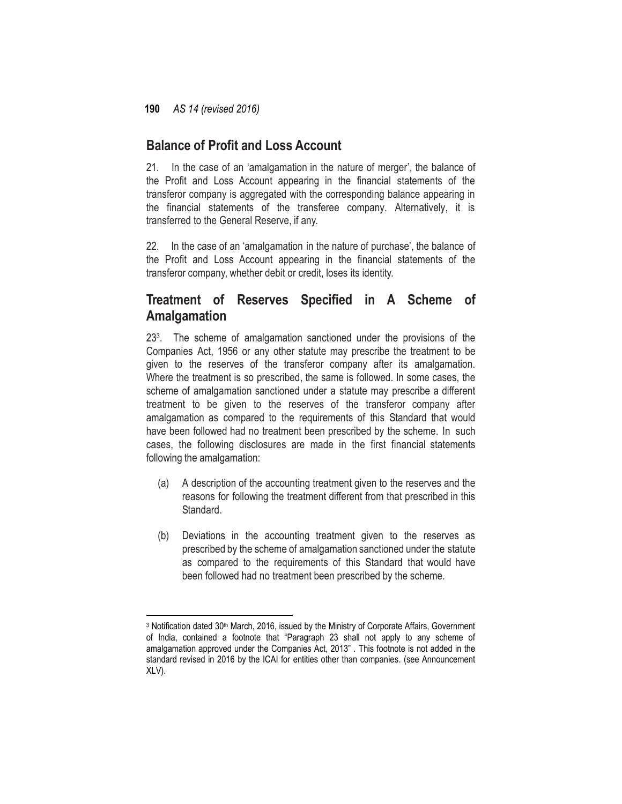## **Balance of Profit and Loss Account**

21. In the case of an 'amalgamation in the nature of merger', the balance of the Profit and Loss Account appearing in the financial statements of the transferor company is aggregated with the corresponding balance appearing in the financial statements of the transferee company. Alternatively, it is transferred to the General Reserve, if any.

22. In the case of an 'amalgamation in the nature of purchase', the balance of the Profit and Loss Account appearing in the financial statements of the transferor company, whether debit or credit, loses its identity.

## **Treatment of Reserves Specified in A Scheme of Amalgamation**

23 3 . The scheme of amalgamation sanctioned under the provisions of the Companies Act, 1956 or any other statute may prescribe the treatment to be given to the reserves of the transferor company after its amalgamation. Where the treatment is so prescribed, the same is followed. In some cases, the scheme of amalgamation sanctioned under a statute may prescribe a different treatment to be given to the reserves of the transferor company after amalgamation as compared to the requirements of this Standard that would have been followed had no treatment been prescribed by the scheme. In such cases, the following disclosures are made in the first financial statements following the amalgamation:

- (a) A description of the accounting treatment given to the reserves and the reasons for following the treatment different from that prescribed in this Standard.
- (b) Deviations in the accounting treatment given to the reserves as prescribed by the scheme of amalgamation sanctioned under the statute as compared to the requirements of this Standard that would have been followed had no treatment been prescribed by the scheme.

 $\overline{\phantom{a}}$ 3 Notification dated 30<sup>th</sup> March, 2016, issued by the Ministry of Corporate Affairs, Government of India, contained a footnote that "Paragraph 23 shall not apply to any scheme of amalgamation approved under the Companies Act, 2013" . This footnote is not added in the standard revised in 2016 by the ICAI for entities other than companies. (see Announcement XLV).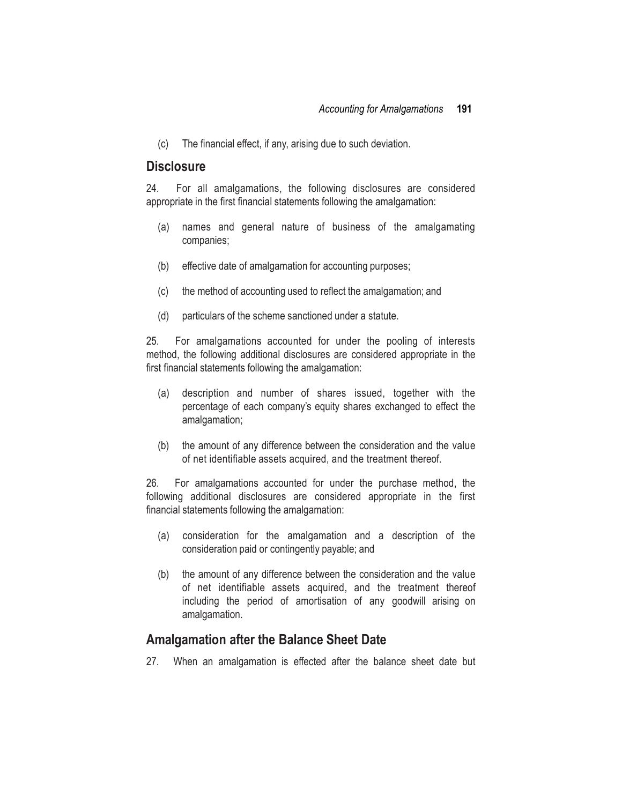(c) The financial effect, if any, arising due to such deviation.

## **Disclosure**

24. For all amalgamations, the following disclosures are considered appropriate in the first financial statements following the amalgamation:

- (a) names and general nature of business of the amalgamating companies;
- (b) effective date of amalgamation for accounting purposes;
- (c) the method of accounting used to reflect the amalgamation; and
- (d) particulars of the scheme sanctioned under a statute.

25. For amalgamations accounted for under the pooling of interests method, the following additional disclosures are considered appropriate in the first financial statements following the amalgamation:

- (a) description and number of shares issued, together with the percentage of each company's equity shares exchanged to effect the amalgamation;
- (b) the amount of any difference between the consideration and the value of net identifiable assets acquired, and the treatment thereof.

26. For amalgamations accounted for under the purchase method, the following additional disclosures are considered appropriate in the first financial statements following the amalgamation:

- (a) consideration for the amalgamation and a description of the consideration paid or contingently payable; and
- (b) the amount of any difference between the consideration and the value of net identifiable assets acquired, and the treatment thereof including the period of amortisation of any goodwill arising on amalgamation.

## **Amalgamation after the Balance Sheet Date**

27. When an amalgamation is effected after the balance sheet date but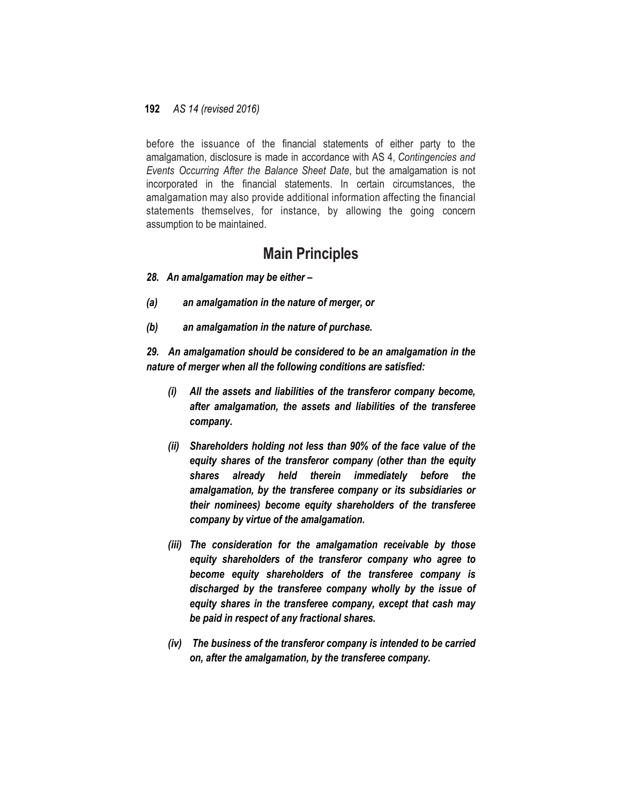before the issuance of the financial statements of either party to the amalgamation, disclosure is made in accordance with AS 4, *Contingencies and Events Occurring After the Balance Sheet Date*, but the amalgamation is not incorporated in the financial statements. In certain circumstances, the amalgamation may also provide additional information affecting the financial statements themselves, for instance, by allowing the going concern assumption to be maintained.

## **Main Principles**

- *28. An amalgamation may be either –*
- *(a) an amalgamation in the nature of merger, or*
- *(b) an amalgamation in the nature of purchase.*

*29. An amalgamation should be considered to be an amalgamation in the nature of merger when all the following conditions are satisfied:*

- *(i) All the assets and liabilities of the transferor company become, after amalgamation, the assets and liabilities of the transferee company.*
- *(ii) Shareholders holding not less than 90% of the face value of the equity shares of the transferor company (other than the equity shares already held therein immediately before the amalgamation, by the transferee company or its subsidiaries or their nominees) become equity shareholders of the transferee company by virtue of the amalgamation.*
- *(iii) The consideration for the amalgamation receivable by those equity shareholders of the transferor company who agree to become equity shareholders of the transferee company is discharged by the transferee company wholly by the issue of equity shares in the transferee company, except that cash may be paid in respect of any fractional shares.*
- *(iv) The business of the transferor company is intended to be carried on, after the amalgamation, by the transferee company.*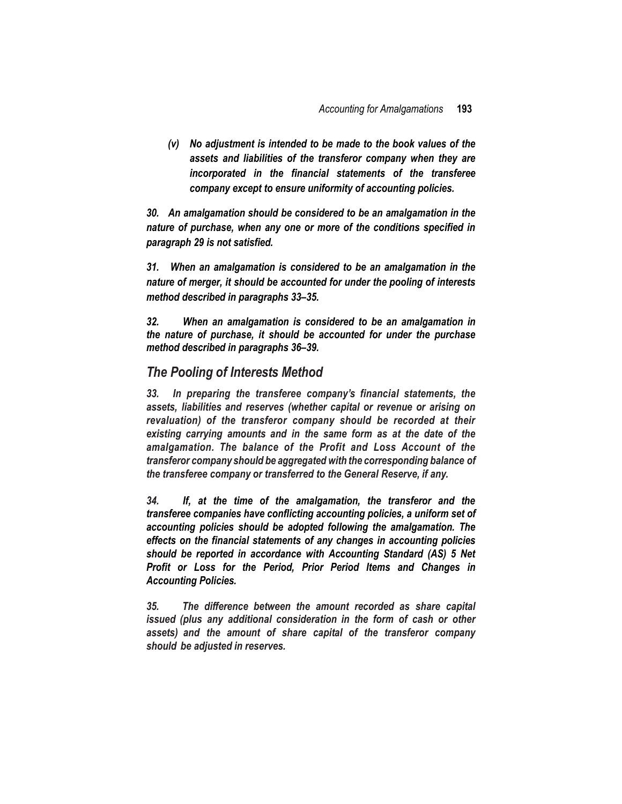*(v) No adjustment is intended to be made to the book values of the assets and liabilities of the transferor company when they are incorporated in the financial statements of the transferee company except to ensure uniformity of accounting policies.*

*30. An amalgamation should be considered to be an amalgamation in the nature of purchase, when any one or more of the conditions specified in paragraph 29 is not satisfied.*

*31. When an amalgamation is considered to be an amalgamation in the nature of merger, it should be accounted for under the pooling of interests method described in paragraphs 33–35.*

*32. When an amalgamation is considered to be an amalgamation in the nature of purchase, it should be accounted for under the purchase method described in paragraphs 36–39.*

### *The Pooling of Interests Method*

*33. In preparing the transferee company's financial statements, the assets, liabilities and reserves (whether capital or revenue or arising on revaluation) of the transferor company should be recorded at their existing carrying amounts and in the same form as at the date of the amalgamation. The balance of the Profit and Loss Account of the transferor company should be aggregated with the corresponding balance of the transferee company or transferred to the General Reserve, if any.*

*34. If, at the time of the amalgamation, the transferor and the transferee companies have conflicting accounting policies, a uniform set of accounting policies should be adopted following the amalgamation. The effects on the financial statements of any changes in accounting policies should be reported in accordance with Accounting Standard (AS) 5 Net Profit or Loss for the Period, Prior Period Items and Changes in Accounting Policies.*

*35. The difference between the amount recorded as share capital issued (plus any additional consideration in the form of cash or other assets) and the amount of share capital of the transferor company should be adjusted in reserves.*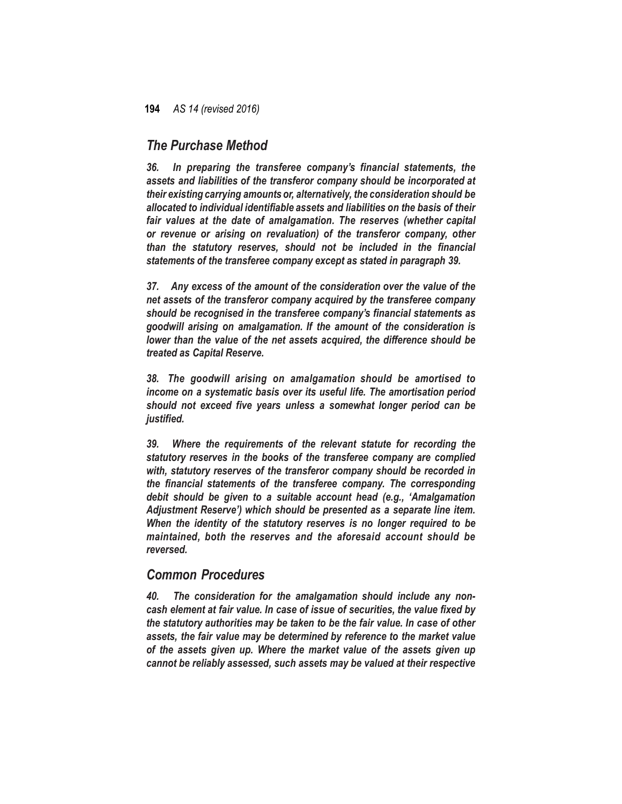### *The Purchase Method*

*36. In preparing the transferee company's financial statements, the assets and liabilities of the transferor company should be incorporated at their existing carrying amounts or, alternatively, the consideration should be allocated to individual identifiable assets and liabilities on the basis of their fair values at the date of amalgamation. The reserves (whether capital or revenue or arising on revaluation) of the transferor company, other than the statutory reserves, should not be included in the financial statements of the transferee company except as stated in paragraph 39.*

*37. Any excess of the amount of the consideration over the value of the net assets of the transferor company acquired by the transferee company should be recognised in the transferee company's financial statements as goodwill arising on amalgamation. If the amount of the consideration is lower than the value of the net assets acquired, the difference should be treated as Capital Reserve.*

*38. The goodwill arising on amalgamation should be amortised to income on a systematic basis over its useful life. The amortisation period should not exceed five years unless a somewhat longer period can be justified.*

*39. Where the requirements of the relevant statute for recording the statutory reserves in the books of the transferee company are complied with, statutory reserves of the transferor company should be recorded in the financial statements of the transferee company. The corresponding debit should be given to a suitable account head (e.g., 'Amalgamation Adjustment Reserve') which should be presented as a separate line item. When the identity of the statutory reserves is no longer required to be maintained, both the reserves and the aforesaid account should be reversed.*

### *Common Procedures*

*40. The consideration for the amalgamation should include any noncash element at fair value. In case of issue of securities, the value fixed by the statutory authorities may be taken to be the fair value. In case of other assets, the fair value may be determined by reference to the market value of the assets given up. Where the market value of the assets given up cannot be reliably assessed, such assets may be valued at their respective*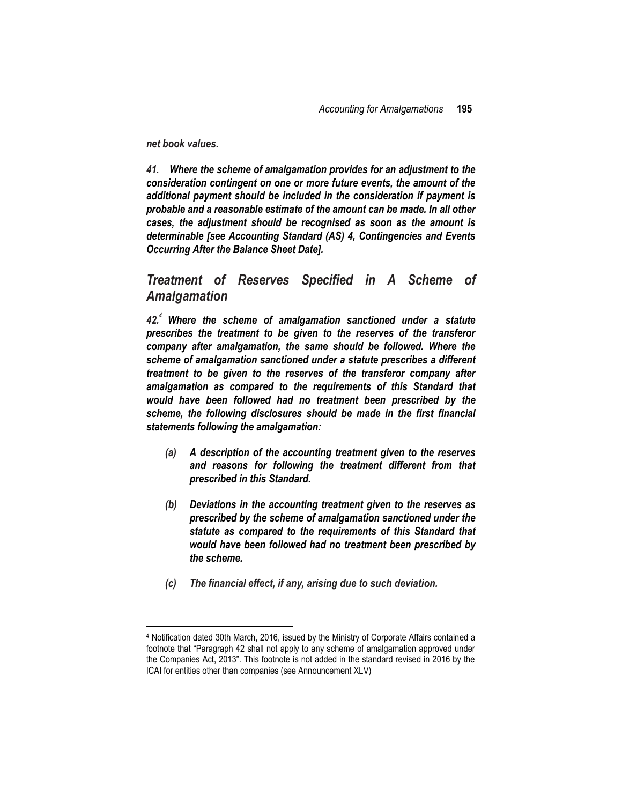*net book values.*

 $\overline{a}$ 

*41. Where the scheme of amalgamation provides for an adjustment to the consideration contingent on one or more future events, the amount of the additional payment should be included in the consideration if payment is probable and a reasonable estimate of the amount can be made. In all other cases, the adjustment should be recognised as soon as the amount is determinable [see Accounting Standard (AS) 4, Contingencies and Events Occurring After the Balance Sheet Date].*

*Treatment of Reserves Specified in A Scheme of Amalgamation*

*42.<sup>4</sup> Where the scheme of amalgamation sanctioned under a statute prescribes the treatment to be given to the reserves of the transferor company after amalgamation, the same should be followed. Where the scheme of amalgamation sanctioned under a statute prescribes a different treatment to be given to the reserves of the transferor company after amalgamation as compared to the requirements of this Standard that would have been followed had no treatment been prescribed by the scheme, the following disclosures should be made in the first financial statements following the amalgamation:*

- *(a) A description of the accounting treatment given to the reserves and reasons for following the treatment different from that prescribed in this Standard.*
- *(b) Deviations in the accounting treatment given to the reserves as prescribed by the scheme of amalgamation sanctioned under the statute as compared to the requirements of this Standard that would have been followed had no treatment been prescribed by the scheme.*
- *(c) The financial effect, if any, arising due to such deviation.*

<sup>4</sup> Notification dated 30th March, 2016, issued by the Ministry of Corporate Affairs contained a footnote that "Paragraph 42 shall not apply to any scheme of amalgamation approved under the Companies Act, 2013". This footnote is not added in the standard revised in 2016 by the ICAI for entities other than companies (see Announcement XLV)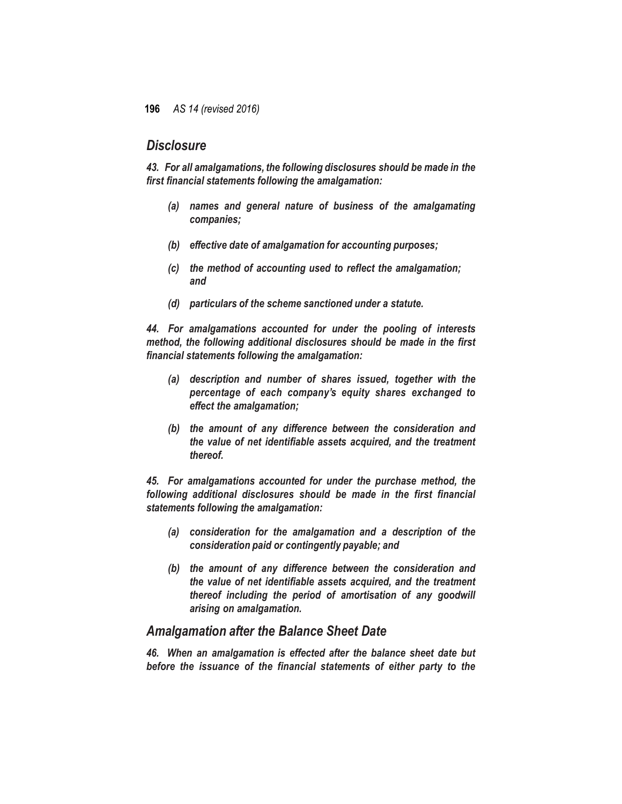## *Disclosure*

*43. For all amalgamations, the following disclosures should be made in the first financial statements following the amalgamation:*

- *(a) names and general nature of business of the amalgamating companies;*
- *(b) effective date of amalgamation for accounting purposes;*
- *(c) the method of accounting used to reflect the amalgamation; and*
- *(d) particulars of the scheme sanctioned under a statute.*

*44. For amalgamations accounted for under the pooling of interests method, the following additional disclosures should be made in the first financial statements following the amalgamation:*

- *(a) description and number of shares issued, together with the percentage of each company's equity shares exchanged to effect the amalgamation;*
- *(b) the amount of any difference between the consideration and the value of net identifiable assets acquired, and the treatment thereof.*

*45. For amalgamations accounted for under the purchase method, the following additional disclosures should be made in the first financial statements following the amalgamation:*

- *(a) consideration for the amalgamation and a description of the consideration paid or contingently payable; and*
- *(b) the amount of any difference between the consideration and the value of net identifiable assets acquired, and the treatment thereof including the period of amortisation of any goodwill arising on amalgamation.*

### *Amalgamation after the Balance Sheet Date*

*46. When an amalgamation is effected after the balance sheet date but before the issuance of the financial statements of either party to the*